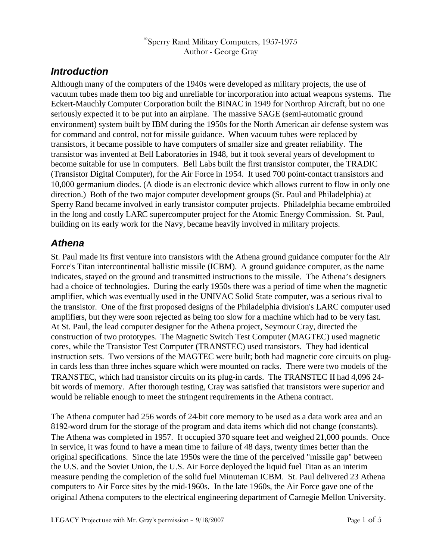### $^\circ$ Sperry Rand Military Computers, 1957-1975 Author - George Gray

# *Introduction*

Although many of the computers of the 1940s were developed as military projects, the use of vacuum tubes made them too big and unreliable for incorporation into actual weapons systems. The Eckert-Mauchly Computer Corporation built the BINAC in 1949 for Northrop Aircraft, but no one seriously expected it to be put into an airplane. The massive SAGE (semi-automatic ground environment) system built by IBM during the 1950s for the North American air defense system was for command and control, not for missile guidance. When vacuum tubes were replaced by transistors, it became possible to have computers of smaller size and greater reliability. The transistor was invented at Bell Laboratories in 1948, but it took several years of development to become suitable for use in computers. Bell Labs built the first transistor computer, the TRADIC (Transistor Digital Computer), for the Air Force in 1954. It used 700 point-contact transistors and 10,000 germanium diodes. (A diode is an electronic device which allows current to flow in only one direction.) Both of the two major computer development groups (St. Paul and Philadelphia) at Sperry Rand became involved in early transistor computer projects. Philadelphia became embroiled in the long and costly LARC supercomputer project for the Atomic Energy Commission. St. Paul, building on its early work for the Navy, became heavily involved in military projects.

### *Athena*

St. Paul made its first venture into transistors with the Athena ground guidance computer for the Air Force's Titan intercontinental ballistic missile (ICBM). A ground guidance computer, as the name indicates, stayed on the ground and transmitted instructions to the missile. The Athena's designers had a choice of technologies. During the early 1950s there was a period of time when the magnetic amplifier, which was eventually used in the UNIVAC Solid State computer, was a serious rival to the transistor. One of the first proposed designs of the Philadelphia division's LARC computer used amplifiers, but they were soon rejected as being too slow for a machine which had to be very fast. At St. Paul, the lead computer designer for the Athena project, Seymour Cray, directed the construction of two prototypes. The Magnetic Switch Test Computer (MAGTEC) used magnetic cores, while the Transistor Test Computer (TRANSTEC) used transistors. They had identical instruction sets. Two versions of the MAGTEC were built; both had magnetic core circuits on plugin cards less than three inches square which were mounted on racks. There were two models of the TRANSTEC, which had transistor circuits on its plug-in cards. The TRANSTEC II had 4,096 24 bit words of memory. After thorough testing, Cray was satisfied that transistors were superior and would be reliable enough to meet the stringent requirements in the Athena contract.

The Athena computer had 256 words of 24-bit core memory to be used as a data work area and an 8192-word drum for the storage of the program and data items which did not change (constants). The Athena was completed in 1957. It occupied 370 square feet and weighed 21,000 pounds. Once in service, it was found to have a mean time to failure of 48 days, twenty times better than the original specifications. Since the late 1950s were the time of the perceived "missile gap" between the U.S. and the Soviet Union, the U.S. Air Force deployed the liquid fuel Titan as an interim measure pending the completion of the solid fuel Minuteman ICBM. St. Paul delivered 23 Athena computers to Air Force sites by the mid-1960s. In the late 1960s, the Air Force gave one of the original Athena computers to the electrical engineering department of Carnegie Mellon University.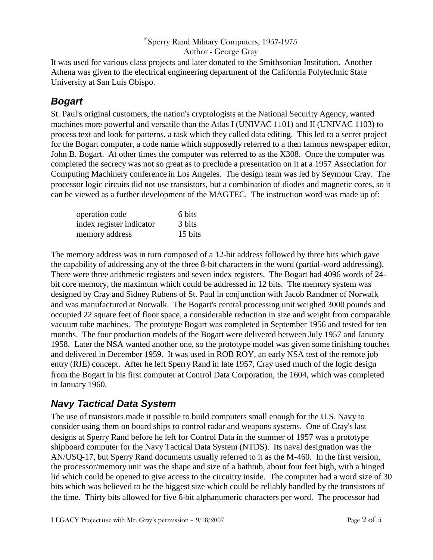### $^\circ$ Sperry Rand Military Computers, 1957-1975

Author - George Gray

It was used for various class projects and later donated to the Smithsonian Institution. Another Athena was given to the electrical engineering department of the California Polytechnic State University at San Luis Obispo.

# *Bogart*

St. Paul's original customers, the nation's cryptologists at the National Security Agency, wanted machines more powerful and versatile than the Atlas I (UNIVAC 1101) and II (UNIVAC 1103) to process text and look for patterns, a task which they called data editing. This led to a secret project for the Bogart computer, a code name which supposedly referred to a then famous newspaper editor, John B. Bogart. At other times the computer was referred to as the X308. Once the computer was completed the secrecy was not so great as to preclude a presentation on it at a 1957 Association for Computing Machinery conference in Los Angeles. The design team was led by Seymour Cray. The processor logic circuits did not use transistors, but a combination of diodes and magnetic cores, so it can be viewed as a further development of the MAGTEC. The instruction word was made up of:

| operation code           | 6 bits  |
|--------------------------|---------|
| index register indicator | 3 bits  |
| memory address           | 15 bits |

The memory address was in turn composed of a 12-bit address followed by three bits which gave the capability of addressing any of the three 8-bit characters in the word (partial-word addressing). There were three arithmetic registers and seven index registers. The Bogart had 4096 words of 24 bit core memory, the maximum which could be addressed in 12 bits. The memory system was designed by Cray and Sidney Rubens of St. Paul in conjunction with Jacob Randmer of Norwalk and was manufactured at Norwalk. The Bogart's central processing unit weighed 3000 pounds and occupied 22 square feet of floor space, a considerable reduction in size and weight from comparable vacuum tube machines. The prototype Bogart was completed in September 1956 and tested for ten months. The four production models of the Bogart were delivered between July 1957 and January 1958. Later the NSA wanted another one, so the prototype model was given some finishing touches and delivered in December 1959. It was used in ROB ROY, an early NSA test of the remote job entry (RJE) concept. After he left Sperry Rand in late 1957, Cray used much of the logic design from the Bogart in his first computer at Control Data Corporation, the 1604, which was completed in January 1960.

# *Navy Tactical Data System*

The use of transistors made it possible to build computers small enough for the U.S. Navy to consider using them on board ships to control radar and weapons systems. One of Cray's last designs at Sperry Rand before he left for Control Data in the summer of 1957 was a prototype shipboard computer for the Navy Tactical Data System (NTDS). Its naval designation was the AN/USQ-17, but Sperry Rand documents usually referred to it as the M-460. In the first version, the processor/memory unit was the shape and size of a bathtub, about four feet high, with a hinged lid which could be opened to give access to the circuitry inside. The computer had a word size of 30 bits which was believed to be the biggest size which could be reliably handled by the transistors of the time. Thirty bits allowed for five 6-bit alphanumeric characters per word. The processor had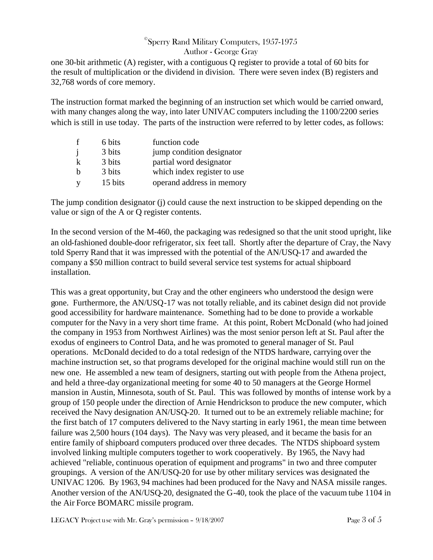### $^\circ$ Sperry Rand Military Computers, 1957-1975

### Author - George Gray

one 30-bit arithmetic (A) register, with a contiguous Q register to provide a total of 60 bits for the result of multiplication or the dividend in division. There were seven index (B) registers and 32,768 words of core memory.

The instruction format marked the beginning of an instruction set which would be carried onward, with many changes along the way, into later UNIVAC computers including the 1100/2200 series which is still in use today. The parts of the instruction were referred to by letter codes, as follows:

| f              | 6 bits  | function code               |
|----------------|---------|-----------------------------|
| $\overline{1}$ | 3 bits  | jump condition designator   |
|                | 3 bits  | partial word designator     |
| h              | 3 bits  | which index register to use |
|                | 15 bits | operand address in memory   |

The jump condition designator (j) could cause the next instruction to be skipped depending on the value or sign of the A or Q register contents.

In the second version of the M-460, the packaging was redesigned so that the unit stood upright, like an old-fashioned double-door refrigerator, six feet tall. Shortly after the departure of Cray, the Navy told Sperry Rand that it was impressed with the potential of the AN/USQ-17 and awarded the company a \$50 million contract to build several service test systems for actual shipboard installation.

This was a great opportunity, but Cray and the other engineers who understood the design were gone. Furthermore, the AN/USQ-17 was not totally reliable, and its cabinet design did not provide good accessibility for hardware maintenance. Something had to be done to provide a workable computer for the Navy in a very short time frame. At this point, Robert McDonald (who had joined the company in 1953 from Northwest Airlines) was the most senior person left at St. Paul after the exodus of engineers to Control Data, and he was promoted to general manager of St. Paul operations. McDonald decided to do a total redesign of the NTDS hardware, carrying over the machine instruction set, so that programs developed for the original machine would still run on the new one. He assembled a new team of designers, starting out with people from the Athena project, and held a three-day organizational meeting for some 40 to 50 managers at the George Hormel mansion in Austin, Minnesota, south of St. Paul. This was followed by months of intense work by a group of 150 people under the direction of Arnie Hendrickson to produce the new computer, which received the Navy designation AN/USQ-20. It turned out to be an extremely reliable machine; for the first batch of 17 computers delivered to the Navy starting in early 1961, the mean time between failure was 2,500 hours (104 days). The Navy was very pleased, and it became the basis for an entire family of shipboard computers produced over three decades. The NTDS shipboard system involved linking multiple computers together to work cooperatively. By 1965, the Navy had achieved "reliable, continuous operation of equipment and programs" in two and three computer groupings. A version of the AN/USQ-20 for use by other military services was designated the UNIVAC 1206. By 1963, 94 machines had been produced for the Navy and NASA missile ranges. Another version of the AN/USQ-20, designated the G-40, took the place of the vacuum tube 1104 in the Air Force BOMARC missile program.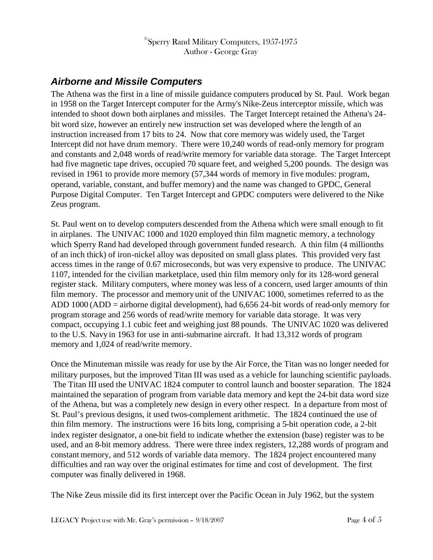$^\circ$ Sperry Rand Military Computers, 1957-1975 Author - George Gray

## *Airborne and Missile Computers*

The Athena was the first in a line of missile guidance computers produced by St. Paul. Work began in 1958 on the Target Intercept computer for the Army's Nike-Zeus interceptor missile, which was intended to shoot down both airplanes and missiles. The Target Intercept retained the Athena's 24 bit word size, however an entirely new instruction set was developed where the length of an instruction increased from 17 bits to 24. Now that core memorywas widely used, the Target Intercept did not have drum memory. There were 10,240 words of read-only memory for program and constants and 2,048 words of read/write memory for variable data storage. The Target Intercept had five magnetic tape drives, occupied 70 square feet, and weighed 5,200 pounds. The design was revised in 1961 to provide more memory (57,344 words of memory in five modules: program, operand, variable, constant, and buffer memory) and the name was changed to GPDC, General Purpose Digital Computer. Ten Target Intercept and GPDC computers were delivered to the Nike Zeus program.

St. Paul went on to develop computers descended from the Athena which were small enough to fit in airplanes. The UNIVAC 1000 and 1020 employed thin film magnetic memory, a technology which Sperry Rand had developed through government funded research. A thin film (4 millionths of an inch thick) of iron-nickel alloy was deposited on small glass plates. This provided very fast access times in the range of 0.67 microseconds, but was very expensive to produce. The UNIVAC 1107, intended for the civilian marketplace, used thin film memory only for its 128-word general register stack. Military computers, where money was less of a concern, used larger amounts of thin film memory. The processor and memory unit of the UNIVAC 1000, sometimes referred to as the ADD 1000 (ADD = airborne digital development), had 6,656 24-bit words of read-only memory for program storage and 256 words of read/write memory for variable data storage. It was very compact, occupying 1.1 cubic feet and weighing just 88 pounds. The UNIVAC 1020 was delivered to the U.S. Navy in 1963 for use in anti-submarine aircraft. It had 13,312 words of program memory and 1,024 of read/write memory.

Once the Minuteman missile was ready for use by the Air Force, the Titan was no longer needed for military purposes, but the improved Titan III was used as a vehicle for launching scientific payloads. The Titan III used the UNIVAC 1824 computer to control launch and booster separation. The 1824 maintained the separation of program from variable data memory and kept the 24-bit data word size of the Athena, but was a completely new design in every other respect. In a departure from most of St. Paul's previous designs, it used twos-complement arithmetic. The 1824 continued the use of thin film memory. The instructions were 16 bits long, comprising a 5-bit operation code, a 2-bit index register designator, a one-bit field to indicate whether the extension (base) register was to be used, and an 8-bit memory address. There were three index registers, 12,288 words of program and constant memory, and 512 words of variable data memory. The 1824 project encountered many difficulties and ran way over the original estimates for time and cost of development. The first computer was finally delivered in 1968.

The Nike Zeus missile did its first intercept over the Pacific Ocean in July 1962, but the system